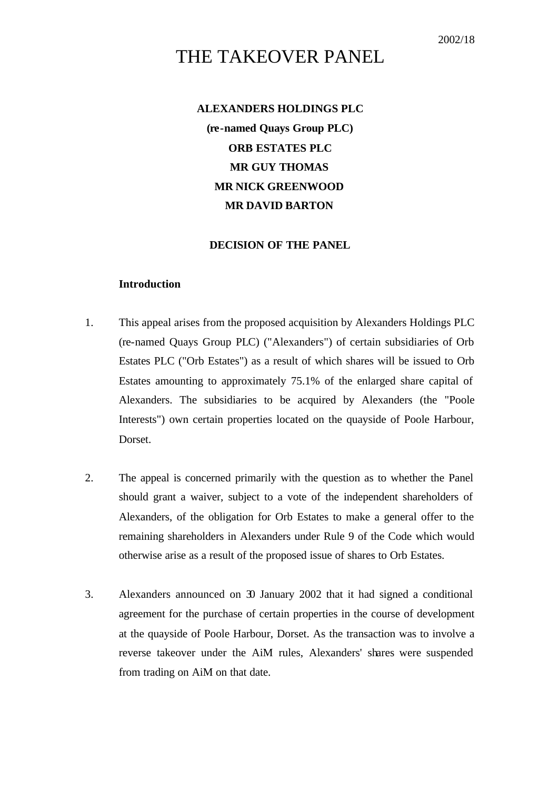# THE TAKEOVER PANEL

# **ALEXANDERS HOLDINGS PLC (re-named Quays Group PLC) ORB ESTATES PLC MR GUY THOMAS MR NICK GREENWOOD MR DAVID BARTON**

# **DECISION OF THE PANEL**

# **Introduction**

- 1. This appeal arises from the proposed acquisition by Alexanders Holdings PLC (re-named Quays Group PLC) ("Alexanders") of certain subsidiaries of Orb Estates PLC ("Orb Estates") as a result of which shares will be issued to Orb Estates amounting to approximately 75.1% of the enlarged share capital of Alexanders. The subsidiaries to be acquired by Alexanders (the "Poole Interests") own certain properties located on the quayside of Poole Harbour, Dorset.
- 2. The appeal is concerned primarily with the question as to whether the Panel should grant a waiver, subject to a vote of the independent shareholders of Alexanders, of the obligation for Orb Estates to make a general offer to the remaining shareholders in Alexanders under Rule 9 of the Code which would otherwise arise as a result of the proposed issue of shares to Orb Estates.
- 3. Alexanders announced on 30 January 2002 that it had signed a conditional agreement for the purchase of certain properties in the course of development at the quayside of Poole Harbour, Dorset. As the transaction was to involve a reverse takeover under the AiM rules, Alexanders' shares were suspended from trading on AiM on that date.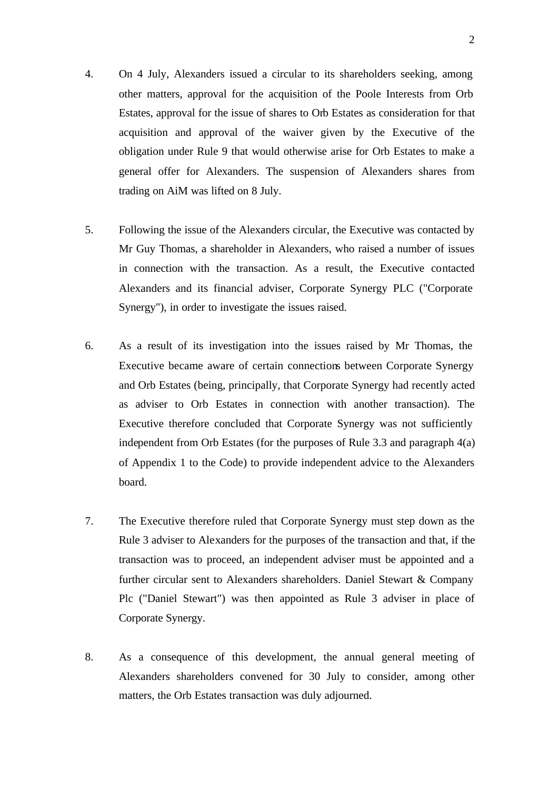- 4. On 4 July, Alexanders issued a circular to its shareholders seeking, among other matters, approval for the acquisition of the Poole Interests from Orb Estates, approval for the issue of shares to Orb Estates as consideration for that acquisition and approval of the waiver given by the Executive of the obligation under Rule 9 that would otherwise arise for Orb Estates to make a general offer for Alexanders. The suspension of Alexanders shares from trading on AiM was lifted on 8 July.
- 5. Following the issue of the Alexanders circular, the Executive was contacted by Mr Guy Thomas, a shareholder in Alexanders, who raised a number of issues in connection with the transaction. As a result, the Executive contacted Alexanders and its financial adviser, Corporate Synergy PLC ("Corporate Synergy"), in order to investigate the issues raised.
- 6. As a result of its investigation into the issues raised by Mr Thomas, the Executive became aware of certain connections between Corporate Synergy and Orb Estates (being, principally, that Corporate Synergy had recently acted as adviser to Orb Estates in connection with another transaction). The Executive therefore concluded that Corporate Synergy was not sufficiently independent from Orb Estates (for the purposes of Rule 3.3 and paragraph 4(a) of Appendix 1 to the Code) to provide independent advice to the Alexanders board.
- 7. The Executive therefore ruled that Corporate Synergy must step down as the Rule 3 adviser to Alexanders for the purposes of the transaction and that, if the transaction was to proceed, an independent adviser must be appointed and a further circular sent to Alexanders shareholders. Daniel Stewart & Company Plc ("Daniel Stewart") was then appointed as Rule 3 adviser in place of Corporate Synergy.
- 8. As a consequence of this development, the annual general meeting of Alexanders shareholders convened for 30 July to consider, among other matters, the Orb Estates transaction was duly adjourned.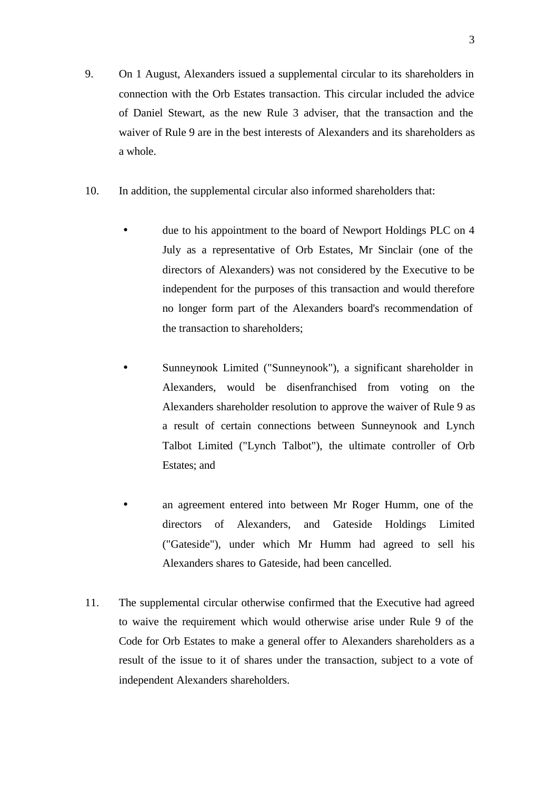- 9. On 1 August, Alexanders issued a supplemental circular to its shareholders in connection with the Orb Estates transaction. This circular included the advice of Daniel Stewart, as the new Rule 3 adviser, that the transaction and the waiver of Rule 9 are in the best interests of Alexanders and its shareholders as a whole.
- 10. In addition, the supplemental circular also informed shareholders that:
	- due to his appointment to the board of Newport Holdings PLC on 4 July as a representative of Orb Estates, Mr Sinclair (one of the directors of Alexanders) was not considered by the Executive to be independent for the purposes of this transaction and would therefore no longer form part of the Alexanders board's recommendation of the transaction to shareholders;
	- Sunneynook Limited ("Sunneynook"), a significant shareholder in Alexanders, would be disenfranchised from voting on the Alexanders shareholder resolution to approve the waiver of Rule 9 as a result of certain connections between Sunneynook and Lynch Talbot Limited ("Lynch Talbot"), the ultimate controller of Orb Estates; and
	- an agreement entered into between Mr Roger Humm, one of the directors of Alexanders, and Gateside Holdings Limited ("Gateside"), under which Mr Humm had agreed to sell his Alexanders shares to Gateside, had been cancelled.
- 11. The supplemental circular otherwise confirmed that the Executive had agreed to waive the requirement which would otherwise arise under Rule 9 of the Code for Orb Estates to make a general offer to Alexanders shareholders as a result of the issue to it of shares under the transaction, subject to a vote of independent Alexanders shareholders.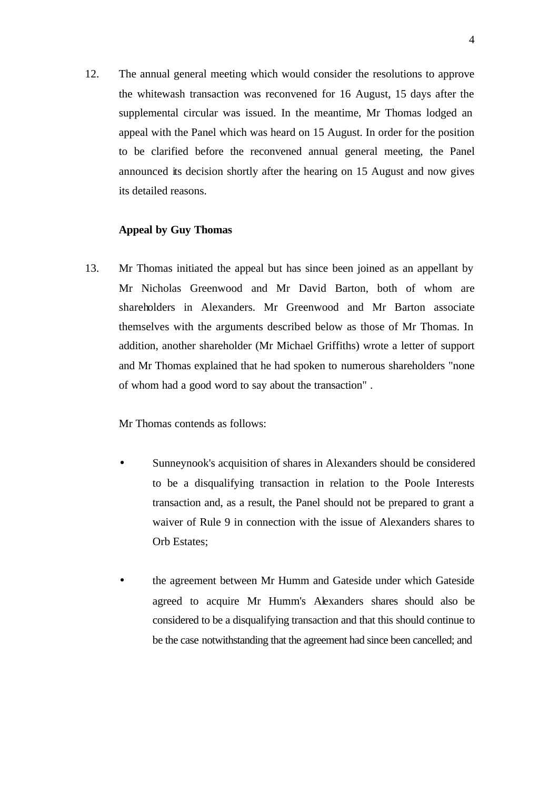12. The annual general meeting which would consider the resolutions to approve the whitewash transaction was reconvened for 16 August, 15 days after the supplemental circular was issued. In the meantime, Mr Thomas lodged an appeal with the Panel which was heard on 15 August. In order for the position to be clarified before the reconvened annual general meeting, the Panel announced its decision shortly after the hearing on 15 August and now gives its detailed reasons.

# **Appeal by Guy Thomas**

13. Mr Thomas initiated the appeal but has since been joined as an appellant by Mr Nicholas Greenwood and Mr David Barton, both of whom are shareholders in Alexanders. Mr Greenwood and Mr Barton associate themselves with the arguments described below as those of Mr Thomas. In addition, another shareholder (Mr Michael Griffiths) wrote a letter of support and Mr Thomas explained that he had spoken to numerous shareholders "none of whom had a good word to say about the transaction" .

Mr Thomas contends as follows:

- Sunneynook's acquisition of shares in Alexanders should be considered to be a disqualifying transaction in relation to the Poole Interests transaction and, as a result, the Panel should not be prepared to grant a waiver of Rule 9 in connection with the issue of Alexanders shares to Orb Estates;
- the agreement between Mr Humm and Gateside under which Gateside agreed to acquire Mr Humm's Alexanders shares should also be considered to be a disqualifying transaction and that this should continue to be the case notwithstanding that the agreement had since been cancelled; and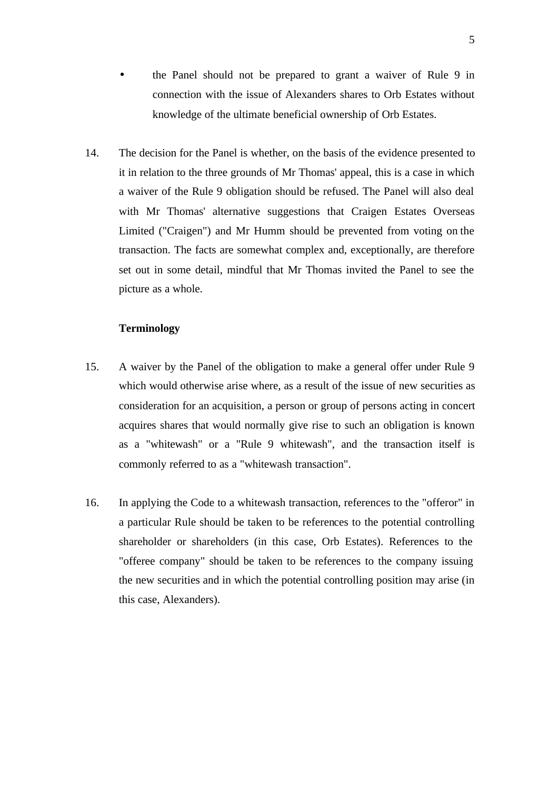- the Panel should not be prepared to grant a waiver of Rule 9 in connection with the issue of Alexanders shares to Orb Estates without knowledge of the ultimate beneficial ownership of Orb Estates.
- 14. The decision for the Panel is whether, on the basis of the evidence presented to it in relation to the three grounds of Mr Thomas' appeal, this is a case in which a waiver of the Rule 9 obligation should be refused. The Panel will also deal with Mr Thomas' alternative suggestions that Craigen Estates Overseas Limited ("Craigen") and Mr Humm should be prevented from voting on the transaction. The facts are somewhat complex and, exceptionally, are therefore set out in some detail, mindful that Mr Thomas invited the Panel to see the picture as a whole.

# **Terminology**

- 15. A waiver by the Panel of the obligation to make a general offer under Rule 9 which would otherwise arise where, as a result of the issue of new securities as consideration for an acquisition, a person or group of persons acting in concert acquires shares that would normally give rise to such an obligation is known as a "whitewash" or a "Rule 9 whitewash", and the transaction itself is commonly referred to as a "whitewash transaction".
- 16. In applying the Code to a whitewash transaction, references to the "offeror" in a particular Rule should be taken to be references to the potential controlling shareholder or shareholders (in this case, Orb Estates). References to the "offeree company" should be taken to be references to the company issuing the new securities and in which the potential controlling position may arise (in this case, Alexanders).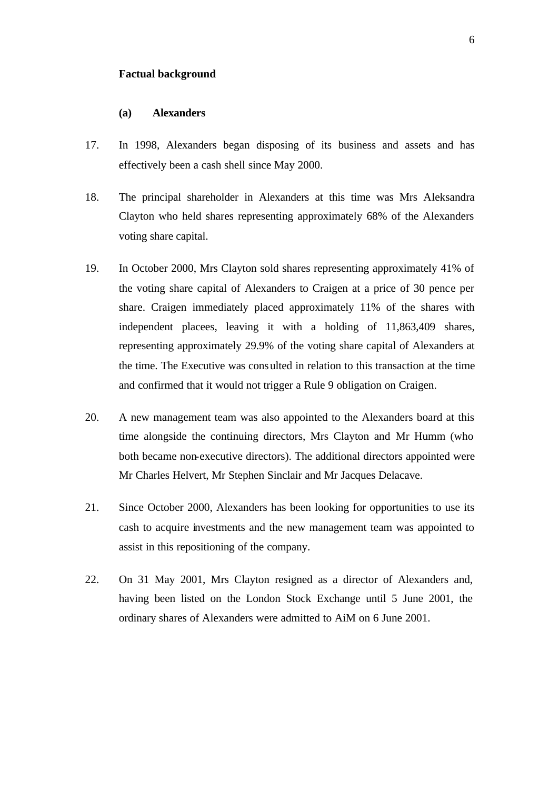### **Factual background**

### **(a) Alexanders**

- 17. In 1998, Alexanders began disposing of its business and assets and has effectively been a cash shell since May 2000.
- 18. The principal shareholder in Alexanders at this time was Mrs Aleksandra Clayton who held shares representing approximately 68% of the Alexanders voting share capital.
- 19. In October 2000, Mrs Clayton sold shares representing approximately 41% of the voting share capital of Alexanders to Craigen at a price of 30 pence per share. Craigen immediately placed approximately 11% of the shares with independent placees, leaving it with a holding of 11,863,409 shares, representing approximately 29.9% of the voting share capital of Alexanders at the time. The Executive was consulted in relation to this transaction at the time and confirmed that it would not trigger a Rule 9 obligation on Craigen.
- 20. A new management team was also appointed to the Alexanders board at this time alongside the continuing directors, Mrs Clayton and Mr Humm (who both became non-executive directors). The additional directors appointed were Mr Charles Helvert, Mr Stephen Sinclair and Mr Jacques Delacave.
- 21. Since October 2000, Alexanders has been looking for opportunities to use its cash to acquire investments and the new management team was appointed to assist in this repositioning of the company.
- 22. On 31 May 2001, Mrs Clayton resigned as a director of Alexanders and, having been listed on the London Stock Exchange until 5 June 2001, the ordinary shares of Alexanders were admitted to AiM on 6 June 2001.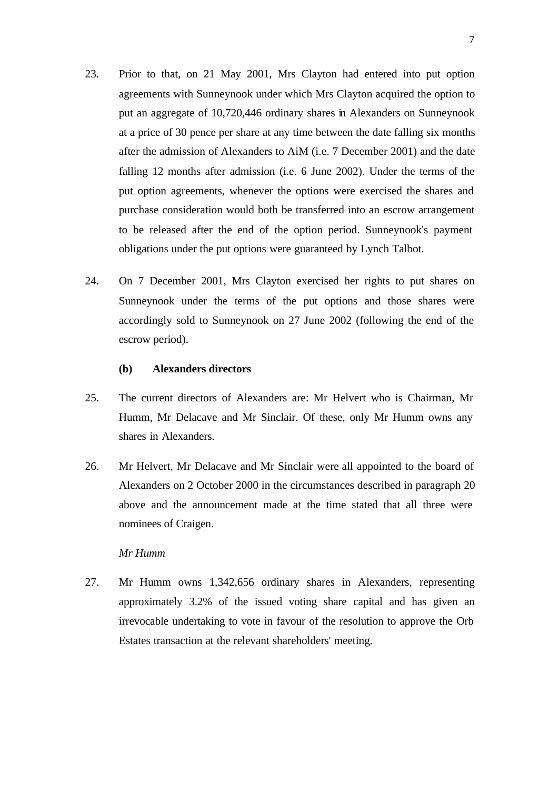- 23. Prior to that, on 21 May 2001, Mrs Clayton had entered into put option agreements with Sunneynook under which Mrs Clayton acquired the option to put an aggregate of 10,720,446 ordinary shares in Alexanders on Sunneynook at a price of 30 pence per share at any time between the date falling six months after the admission of Alexanders to AiM (i.e. 7 December 2001) and the date falling 12 months after admission (i.e. 6 June 2002). Under the terms of the put option agreements, whenever the options were exercised the shares and purchase consideration would both be transferred into an escrow arrangement to be released after the end of the option period. Sunneynook's payment obligations under the put options were guaranteed by Lynch Talbot.
- 24. On 7 December 2001, Mrs Clayton exercised her rights to put shares on Sunneynook under the terms of the put options and those shares were accordingly sold to Sunneynook on 27 June 2002 (following the end of the escrow period).

### **(b) Alexanders directors**

- 25. The current directors of Alexanders are: Mr Helvert who is Chairman, Mr Humm, Mr Delacave and Mr Sinclair. Of these, only Mr Humm owns any shares in Alexanders.
- 26. Mr Helvert, Mr Delacave and Mr Sinclair were all appointed to the board of Alexanders on 2 October 2000 in the circumstances described in paragraph 20 above and the announcement made at the time stated that all three were nominees of Craigen.

# *Mr Humm*

27. Mr Humm owns 1,342,656 ordinary shares in Alexanders, representing approximately 3.2% of the issued voting share capital and has given an irrevocable undertaking to vote in favour of the resolution to approve the Orb Estates transaction at the relevant shareholders' meeting.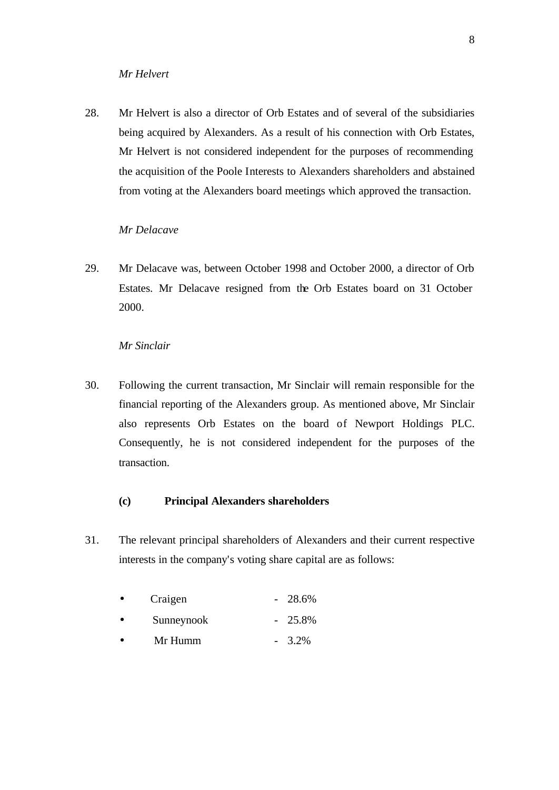### *Mr Helvert*

28. Mr Helvert is also a director of Orb Estates and of several of the subsidiaries being acquired by Alexanders. As a result of his connection with Orb Estates, Mr Helvert is not considered independent for the purposes of recommending the acquisition of the Poole Interests to Alexanders shareholders and abstained from voting at the Alexanders board meetings which approved the transaction.

### *Mr Delacave*

29. Mr Delacave was, between October 1998 and October 2000, a director of Orb Estates. Mr Delacave resigned from the Orb Estates board on 31 October 2000.

# *Mr Sinclair*

30. Following the current transaction, Mr Sinclair will remain responsible for the financial reporting of the Alexanders group. As mentioned above, Mr Sinclair also represents Orb Estates on the board of Newport Holdings PLC. Consequently, he is not considered independent for the purposes of the transaction.

# **(c) Principal Alexanders shareholders**

31. The relevant principal shareholders of Alexanders and their current respective interests in the company's voting share capital are as follows:

| Craigen | $-28.6\%$ |
|---------|-----------|
|         |           |

- Sunneynook 25.8%
- Mr Humm  $-3.2\%$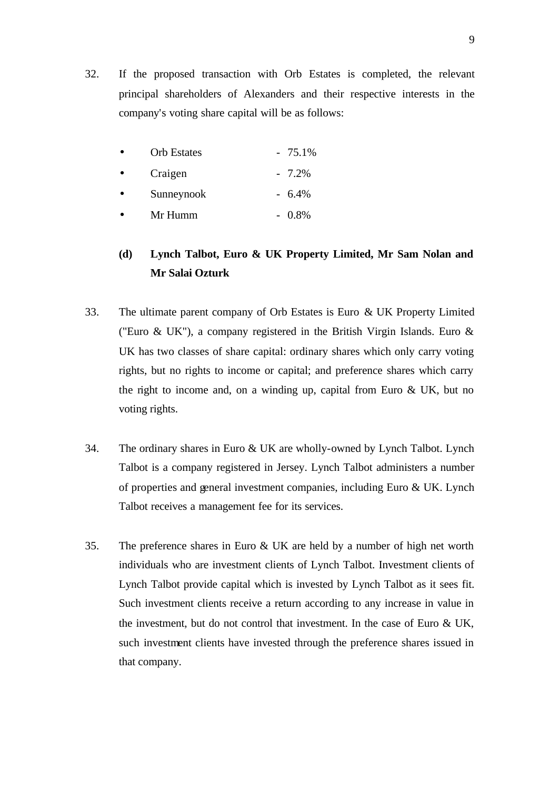32. If the proposed transaction with Orb Estates is completed, the relevant principal shareholders of Alexanders and their respective interests in the company's voting share capital will be as follows:

| <b>Orb</b> Estates | $-75.1\%$ |
|--------------------|-----------|
| Craigen            | $-7.2\%$  |
| Sunneynook         | $-6.4\%$  |
| Mr Humm            | $-0.8\%$  |

# **(d) Lynch Talbot, Euro & UK Property Limited, Mr Sam Nolan and Mr Salai Ozturk**

- 33. The ultimate parent company of Orb Estates is Euro & UK Property Limited ("Euro & UK"), a company registered in the British Virgin Islands. Euro & UK has two classes of share capital: ordinary shares which only carry voting rights, but no rights to income or capital; and preference shares which carry the right to income and, on a winding up, capital from Euro & UK, but no voting rights.
- 34. The ordinary shares in Euro & UK are wholly-owned by Lynch Talbot. Lynch Talbot is a company registered in Jersey. Lynch Talbot administers a number of properties and general investment companies, including Euro & UK. Lynch Talbot receives a management fee for its services.
- 35. The preference shares in Euro & UK are held by a number of high net worth individuals who are investment clients of Lynch Talbot. Investment clients of Lynch Talbot provide capital which is invested by Lynch Talbot as it sees fit. Such investment clients receive a return according to any increase in value in the investment, but do not control that investment. In the case of Euro & UK, such investment clients have invested through the preference shares issued in that company.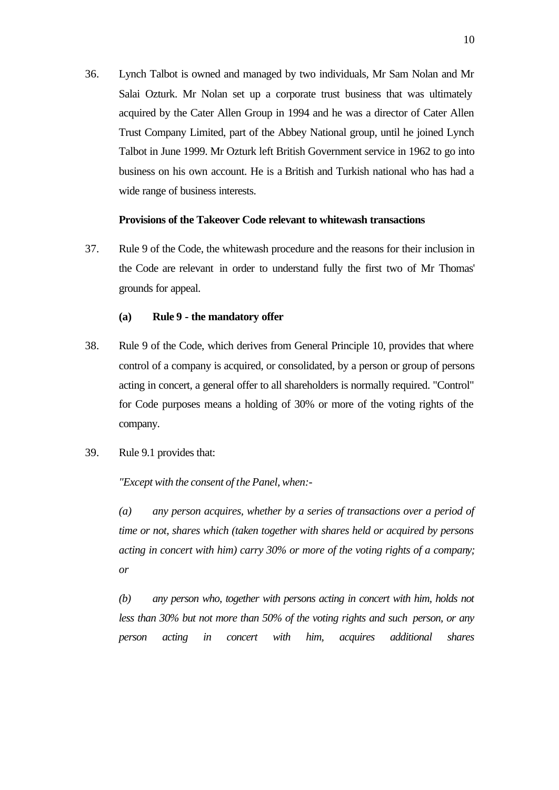36. Lynch Talbot is owned and managed by two individuals, Mr Sam Nolan and Mr Salai Ozturk. Mr Nolan set up a corporate trust business that was ultimately acquired by the Cater Allen Group in 1994 and he was a director of Cater Allen Trust Company Limited, part of the Abbey National group, until he joined Lynch Talbot in June 1999. Mr Ozturk left British Government service in 1962 to go into business on his own account. He is a British and Turkish national who has had a wide range of business interests.

### **Provisions of the Takeover Code relevant to whitewash transactions**

37. Rule 9 of the Code, the whitewash procedure and the reasons for their inclusion in the Code are relevant in order to understand fully the first two of Mr Thomas' grounds for appeal.

### **(a) Rule 9 - the mandatory offer**

- 38. Rule 9 of the Code, which derives from General Principle 10, provides that where control of a company is acquired, or consolidated, by a person or group of persons acting in concert, a general offer to all shareholders is normally required. "Control" for Code purposes means a holding of 30% or more of the voting rights of the company.
- 39. Rule 9.1 provides that:

*"Except with the consent of the Panel, when:-*

*(a) any person acquires, whether by a series of transactions over a period of time or not, shares which (taken together with shares held or acquired by persons acting in concert with him) carry 30% or more of the voting rights of a company; or*

*(b) any person who, together with persons acting in concert with him, holds not less than 30% but not more than 50% of the voting rights and such person, or any person acting in concert with him, acquires additional shares*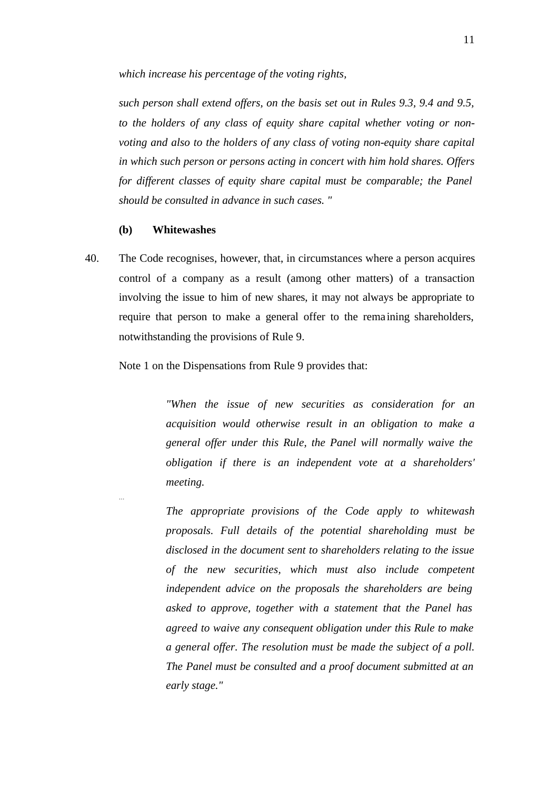*which increase his percentage of the voting rights,*

*such person shall extend offers, on the basis set out in Rules 9.3, 9.4 and 9.5, to the holders of any class of equity share capital whether voting or nonvoting and also to the holders of any class of voting non-equity share capital in which such person or persons acting in concert with him hold shares. Offers for different classes of equity share capital must be comparable; the Panel should be consulted in advance in such cases. "*

### **(b) Whitewashes**

…

40. The Code recognises, however, that, in circumstances where a person acquires control of a company as a result (among other matters) of a transaction involving the issue to him of new shares, it may not always be appropriate to require that person to make a general offer to the rema ining shareholders, notwithstanding the provisions of Rule 9.

Note 1 on the Dispensations from Rule 9 provides that:

*"When the issue of new securities as consideration for an acquisition would otherwise result in an obligation to make a general offer under this Rule, the Panel will normally waive the obligation if there is an independent vote at a shareholders' meeting.*

*The appropriate provisions of the Code apply to whitewash proposals. Full details of the potential shareholding must be disclosed in the document sent to shareholders relating to the issue of the new securities, which must also include competent independent advice on the proposals the shareholders are being asked to approve, together with a statement that the Panel has agreed to waive any consequent obligation under this Rule to make a general offer. The resolution must be made the subject of a poll. The Panel must be consulted and a proof document submitted at an early stage."*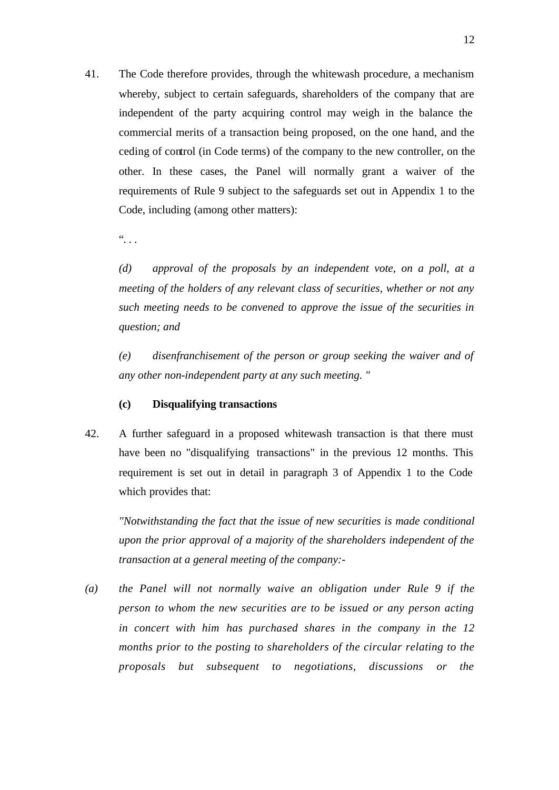41. The Code therefore provides, through the whitewash procedure, a mechanism whereby, subject to certain safeguards, shareholders of the company that are independent of the party acquiring control may weigh in the balance the commercial merits of a transaction being proposed, on the one hand, and the ceding of control (in Code terms) of the company to the new controller, on the other. In these cases, the Panel will normally grant a waiver of the requirements of Rule 9 subject to the safeguards set out in Appendix 1 to the Code, including (among other matters):

 $\dddot{\bullet}$  .

*(d) approval of the proposals by an independent vote, on a poll, at a meeting of the holders of any relevant class of securities, whether or not any such meeting needs to be convened to approve the issue of the securities in question; and*

*(e) disenfranchisement of the person or group seeking the waiver and of any other non-independent party at any such meeting. "*

# **(c) Disqualifying transactions**

42. A further safeguard in a proposed whitewash transaction is that there must have been no "disqualifying transactions" in the previous 12 months. This requirement is set out in detail in paragraph 3 of Appendix 1 to the Code which provides that:

*"Notwithstanding the fact that the issue of new securities is made conditional upon the prior approval of a majority of the shareholders independent of the transaction at a general meeting of the company:-*

*(a) the Panel will not normally waive an obligation under Rule 9 if the person to whom the new securities are to be issued or any person acting in concert with him has purchased shares in the company in the 12 months prior to the posting to shareholders of the circular relating to the proposals but subsequent to negotiations, discussions or the*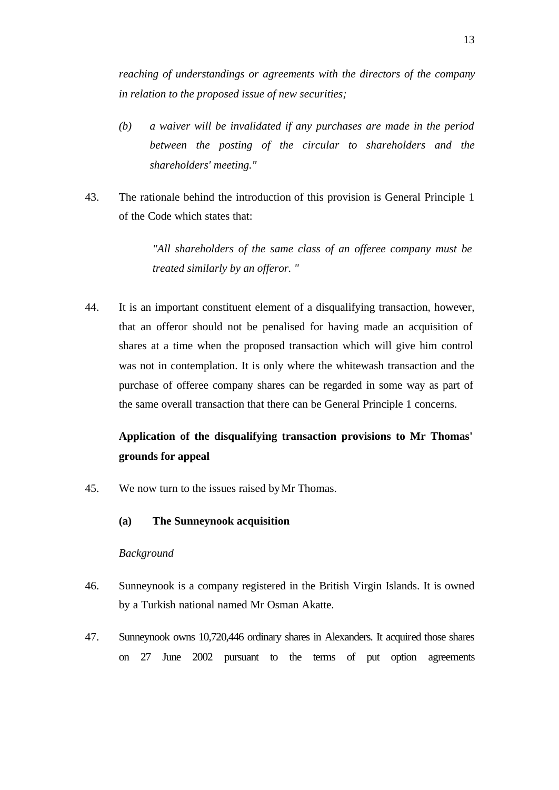*reaching of understandings or agreements with the directors of the company in relation to the proposed issue of new securities;*

- *(b) a waiver will be invalidated if any purchases are made in the period between the posting of the circular to shareholders and the shareholders' meeting."*
- 43. The rationale behind the introduction of this provision is General Principle 1 of the Code which states that:

*"All shareholders of the same class of an offeree company must be treated similarly by an offeror. "*

44. It is an important constituent element of a disqualifying transaction, however, that an offeror should not be penalised for having made an acquisition of shares at a time when the proposed transaction which will give him control was not in contemplation. It is only where the whitewash transaction and the purchase of offeree company shares can be regarded in some way as part of the same overall transaction that there can be General Principle 1 concerns.

# **Application of the disqualifying transaction provisions to Mr Thomas' grounds for appeal**

- 45. We now turn to the issues raised by Mr Thomas.
	- **(a) The Sunneynook acquisition**

# *Background*

- 46. Sunneynook is a company registered in the British Virgin Islands. It is owned by a Turkish national named Mr Osman Akatte.
- 47. Sunneynook owns 10,720,446 ordinary shares in Alexanders. It acquired those shares on 27 June 2002 pursuant to the terms of put option agreements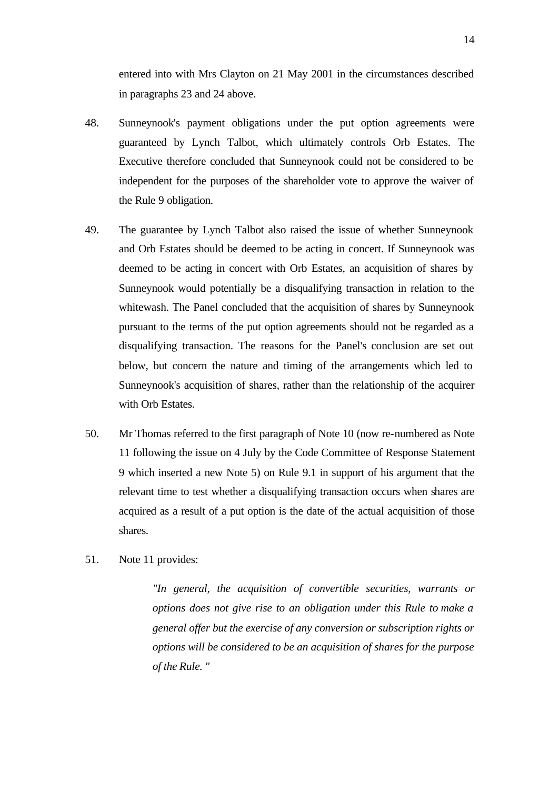entered into with Mrs Clayton on 21 May 2001 in the circumstances described in paragraphs 23 and 24 above.

- 48. Sunneynook's payment obligations under the put option agreements were guaranteed by Lynch Talbot, which ultimately controls Orb Estates. The Executive therefore concluded that Sunneynook could not be considered to be independent for the purposes of the shareholder vote to approve the waiver of the Rule 9 obligation.
- 49. The guarantee by Lynch Talbot also raised the issue of whether Sunneynook and Orb Estates should be deemed to be acting in concert. If Sunneynook was deemed to be acting in concert with Orb Estates, an acquisition of shares by Sunneynook would potentially be a disqualifying transaction in relation to the whitewash. The Panel concluded that the acquisition of shares by Sunneynook pursuant to the terms of the put option agreements should not be regarded as a disqualifying transaction. The reasons for the Panel's conclusion are set out below, but concern the nature and timing of the arrangements which led to Sunneynook's acquisition of shares, rather than the relationship of the acquirer with Orb Estates.
- 50. Mr Thomas referred to the first paragraph of Note 10 (now re-numbered as Note 11 following the issue on 4 July by the Code Committee of Response Statement 9 which inserted a new Note 5) on Rule 9.1 in support of his argument that the relevant time to test whether a disqualifying transaction occurs when shares are acquired as a result of a put option is the date of the actual acquisition of those shares.
- 51. Note 11 provides:

*"In general, the acquisition of convertible securities, warrants or options does not give rise to an obligation under this Rule to make a general offer but the exercise of any conversion or subscription rights or options will be considered to be an acquisition of shares for the purpose of the Rule. "*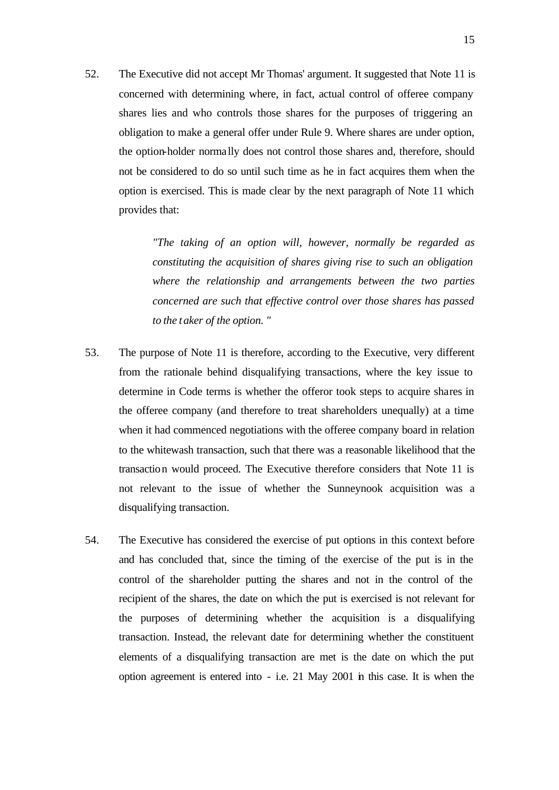52. The Executive did not accept Mr Thomas' argument. It suggested that Note 11 is concerned with determining where, in fact, actual control of offeree company shares lies and who controls those shares for the purposes of triggering an obligation to make a general offer under Rule 9. Where shares are under option, the option-holder normally does not control those shares and, therefore, should not be considered to do so until such time as he in fact acquires them when the option is exercised. This is made clear by the next paragraph of Note 11 which provides that:

> *"The taking of an option will, however, normally be regarded as constituting the acquisition of shares giving rise to such an obligation where the relationship and arrangements between the two parties concerned are such that effective control over those shares has passed to the taker of the option. "*

- 53. The purpose of Note 11 is therefore, according to the Executive, very different from the rationale behind disqualifying transactions, where the key issue to determine in Code terms is whether the offeror took steps to acquire shares in the offeree company (and therefore to treat shareholders unequally) at a time when it had commenced negotiations with the offeree company board in relation to the whitewash transaction, such that there was a reasonable likelihood that the transaction would proceed. The Executive therefore considers that Note 11 is not relevant to the issue of whether the Sunneynook acquisition was a disqualifying transaction.
- 54. The Executive has considered the exercise of put options in this context before and has concluded that, since the timing of the exercise of the put is in the control of the shareholder putting the shares and not in the control of the recipient of the shares, the date on which the put is exercised is not relevant for the purposes of determining whether the acquisition is a disqualifying transaction. Instead, the relevant date for determining whether the constituent elements of a disqualifying transaction are met is the date on which the put option agreement is entered into - i.e. 21 May 2001 in this case. It is when the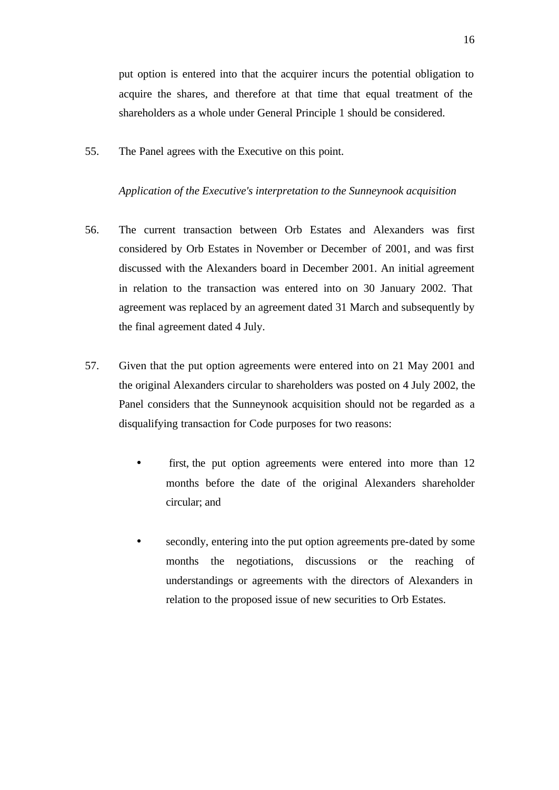put option is entered into that the acquirer incurs the potential obligation to acquire the shares, and therefore at that time that equal treatment of the shareholders as a whole under General Principle 1 should be considered.

55. The Panel agrees with the Executive on this point.

### *Application of the Executive's interpretation to the Sunneynook acquisition*

- 56. The current transaction between Orb Estates and Alexanders was first considered by Orb Estates in November or December of 2001, and was first discussed with the Alexanders board in December 2001. An initial agreement in relation to the transaction was entered into on 30 January 2002. That agreement was replaced by an agreement dated 31 March and subsequently by the final agreement dated 4 July.
- 57. Given that the put option agreements were entered into on 21 May 2001 and the original Alexanders circular to shareholders was posted on 4 July 2002, the Panel considers that the Sunneynook acquisition should not be regarded as a disqualifying transaction for Code purposes for two reasons:
	- first, the put option agreements were entered into more than 12 months before the date of the original Alexanders shareholder circular; and
	- secondly, entering into the put option agreements pre-dated by some months the negotiations, discussions or the reaching of understandings or agreements with the directors of Alexanders in relation to the proposed issue of new securities to Orb Estates.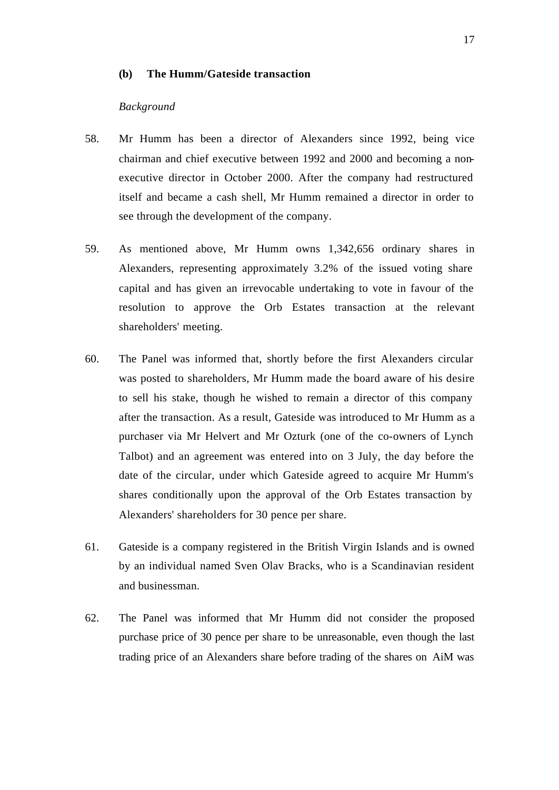### **(b) The Humm/Gateside transaction**

### *Background*

- 58. Mr Humm has been a director of Alexanders since 1992, being vice chairman and chief executive between 1992 and 2000 and becoming a nonexecutive director in October 2000. After the company had restructured itself and became a cash shell, Mr Humm remained a director in order to see through the development of the company.
- 59. As mentioned above, Mr Humm owns 1,342,656 ordinary shares in Alexanders, representing approximately 3.2% of the issued voting share capital and has given an irrevocable undertaking to vote in favour of the resolution to approve the Orb Estates transaction at the relevant shareholders' meeting.
- 60. The Panel was informed that, shortly before the first Alexanders circular was posted to shareholders, Mr Humm made the board aware of his desire to sell his stake, though he wished to remain a director of this company after the transaction. As a result, Gateside was introduced to Mr Humm as a purchaser via Mr Helvert and Mr Ozturk (one of the co-owners of Lynch Talbot) and an agreement was entered into on 3 July, the day before the date of the circular, under which Gateside agreed to acquire Mr Humm's shares conditionally upon the approval of the Orb Estates transaction by Alexanders' shareholders for 30 pence per share.
- 61. Gateside is a company registered in the British Virgin Islands and is owned by an individual named Sven Olav Bracks, who is a Scandinavian resident and businessman.
- 62. The Panel was informed that Mr Humm did not consider the proposed purchase price of 30 pence per share to be unreasonable, even though the last trading price of an Alexanders share before trading of the shares on AiM was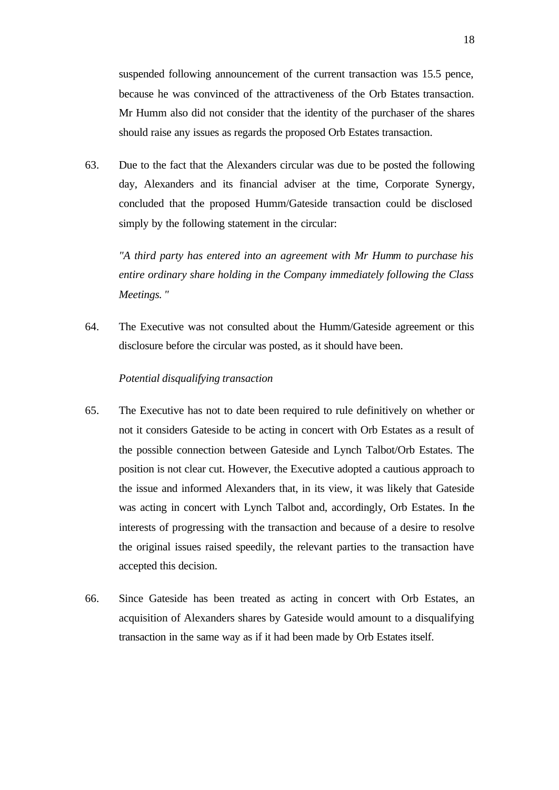suspended following announcement of the current transaction was 15.5 pence, because he was convinced of the attractiveness of the Orb Estates transaction. Mr Humm also did not consider that the identity of the purchaser of the shares should raise any issues as regards the proposed Orb Estates transaction.

63. Due to the fact that the Alexanders circular was due to be posted the following day, Alexanders and its financial adviser at the time, Corporate Synergy, concluded that the proposed Humm/Gateside transaction could be disclosed simply by the following statement in the circular:

*"A third party has entered into an agreement with Mr Humm to purchase his entire ordinary share holding in the Company immediately following the Class Meetings. "*

64. The Executive was not consulted about the Humm/Gateside agreement or this disclosure before the circular was posted, as it should have been.

# *Potential disqualifying transaction*

- 65. The Executive has not to date been required to rule definitively on whether or not it considers Gateside to be acting in concert with Orb Estates as a result of the possible connection between Gateside and Lynch Talbot/Orb Estates. The position is not clear cut. However, the Executive adopted a cautious approach to the issue and informed Alexanders that, in its view, it was likely that Gateside was acting in concert with Lynch Talbot and, accordingly, Orb Estates. In the interests of progressing with the transaction and because of a desire to resolve the original issues raised speedily, the relevant parties to the transaction have accepted this decision.
- 66. Since Gateside has been treated as acting in concert with Orb Estates, an acquisition of Alexanders shares by Gateside would amount to a disqualifying transaction in the same way as if it had been made by Orb Estates itself.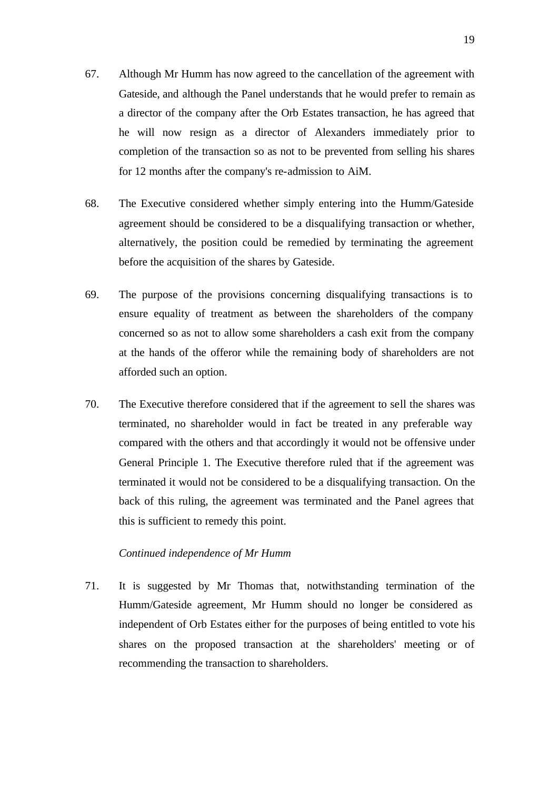- 67. Although Mr Humm has now agreed to the cancellation of the agreement with Gateside, and although the Panel understands that he would prefer to remain as a director of the company after the Orb Estates transaction, he has agreed that he will now resign as a director of Alexanders immediately prior to completion of the transaction so as not to be prevented from selling his shares for 12 months after the company's re-admission to AiM.
- 68. The Executive considered whether simply entering into the Humm/Gateside agreement should be considered to be a disqualifying transaction or whether, alternatively, the position could be remedied by terminating the agreement before the acquisition of the shares by Gateside.
- 69. The purpose of the provisions concerning disqualifying transactions is to ensure equality of treatment as between the shareholders of the company concerned so as not to allow some shareholders a cash exit from the company at the hands of the offeror while the remaining body of shareholders are not afforded such an option.
- 70. The Executive therefore considered that if the agreement to sell the shares was terminated, no shareholder would in fact be treated in any preferable way compared with the others and that accordingly it would not be offensive under General Principle 1. The Executive therefore ruled that if the agreement was terminated it would not be considered to be a disqualifying transaction. On the back of this ruling, the agreement was terminated and the Panel agrees that this is sufficient to remedy this point.

# *Continued independence of Mr Humm*

71. It is suggested by Mr Thomas that, notwithstanding termination of the Humm/Gateside agreement, Mr Humm should no longer be considered as independent of Orb Estates either for the purposes of being entitled to vote his shares on the proposed transaction at the shareholders' meeting or of recommending the transaction to shareholders.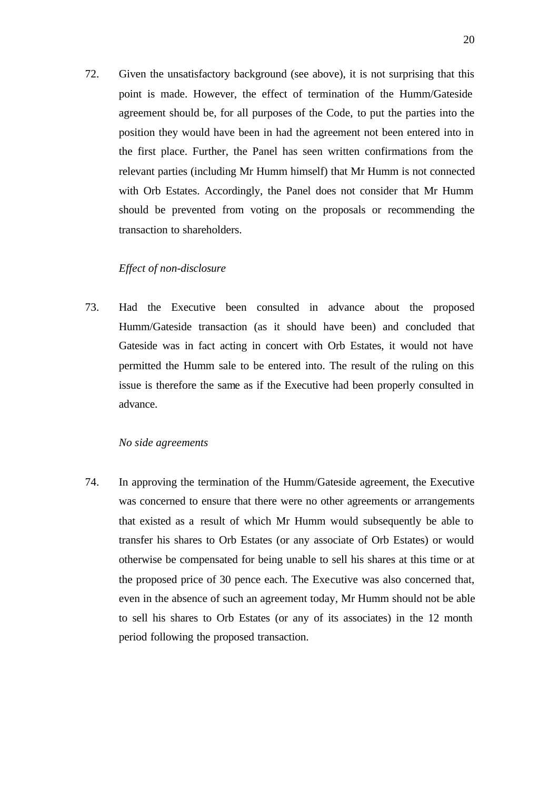72. Given the unsatisfactory background (see above), it is not surprising that this point is made. However, the effect of termination of the Humm/Gateside agreement should be, for all purposes of the Code, to put the parties into the position they would have been in had the agreement not been entered into in the first place. Further, the Panel has seen written confirmations from the relevant parties (including Mr Humm himself) that Mr Humm is not connected with Orb Estates. Accordingly, the Panel does not consider that Mr Humm should be prevented from voting on the proposals or recommending the transaction to shareholders.

# *Effect of non-disclosure*

73. Had the Executive been consulted in advance about the proposed Humm/Gateside transaction (as it should have been) and concluded that Gateside was in fact acting in concert with Orb Estates, it would not have permitted the Humm sale to be entered into. The result of the ruling on this issue is therefore the same as if the Executive had been properly consulted in advance.

# *No side agreements*

74. In approving the termination of the Humm/Gateside agreement, the Executive was concerned to ensure that there were no other agreements or arrangements that existed as a result of which Mr Humm would subsequently be able to transfer his shares to Orb Estates (or any associate of Orb Estates) or would otherwise be compensated for being unable to sell his shares at this time or at the proposed price of 30 pence each. The Executive was also concerned that, even in the absence of such an agreement today, Mr Humm should not be able to sell his shares to Orb Estates (or any of its associates) in the 12 month period following the proposed transaction.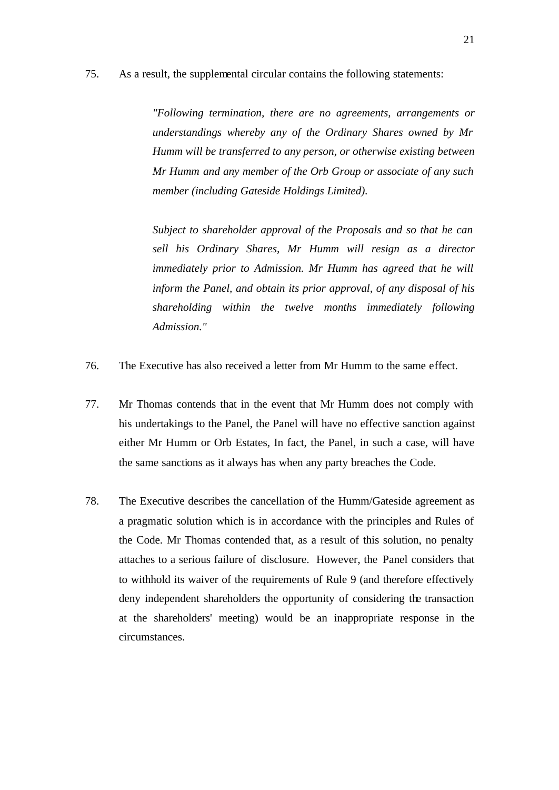75. As a result, the supplemental circular contains the following statements:

*"Following termination, there are no agreements, arrangements or understandings whereby any of the Ordinary Shares owned by Mr Humm will be transferred to any person, or otherwise existing between Mr Humm and any member of the Orb Group or associate of any such member (including Gateside Holdings Limited).*

*Subject to shareholder approval of the Proposals and so that he can sell his Ordinary Shares, Mr Humm will resign as a director immediately prior to Admission. Mr Humm has agreed that he will inform the Panel, and obtain its prior approval, of any disposal of his shareholding within the twelve months immediately following Admission."*

- 76. The Executive has also received a letter from Mr Humm to the same effect.
- 77. Mr Thomas contends that in the event that Mr Humm does not comply with his undertakings to the Panel, the Panel will have no effective sanction against either Mr Humm or Orb Estates, In fact, the Panel, in such a case, will have the same sanctions as it always has when any party breaches the Code.
- 78. The Executive describes the cancellation of the Humm/Gateside agreement as a pragmatic solution which is in accordance with the principles and Rules of the Code. Mr Thomas contended that, as a result of this solution, no penalty attaches to a serious failure of disclosure. However, the Panel considers that to withhold its waiver of the requirements of Rule 9 (and therefore effectively deny independent shareholders the opportunity of considering the transaction at the shareholders' meeting) would be an inappropriate response in the circumstances.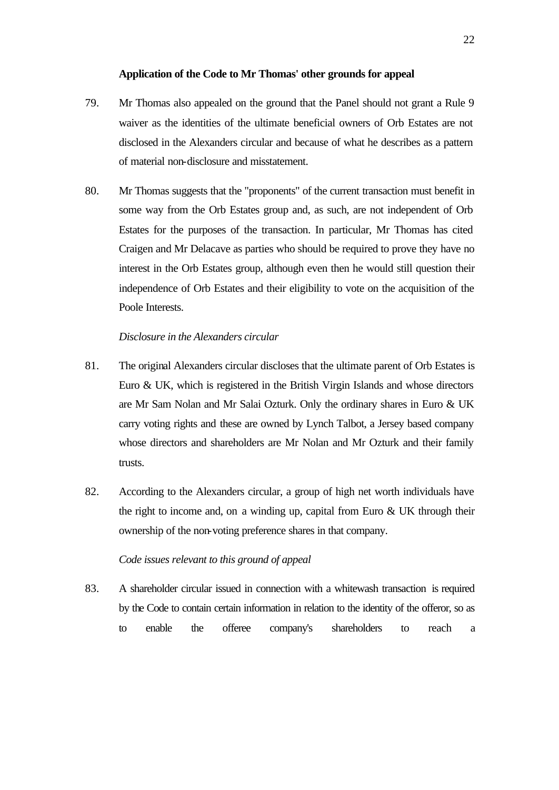### **Application of the Code to Mr Thomas' other grounds for appeal**

- 79. Mr Thomas also appealed on the ground that the Panel should not grant a Rule 9 waiver as the identities of the ultimate beneficial owners of Orb Estates are not disclosed in the Alexanders circular and because of what he describes as a pattern of material non-disclosure and misstatement.
- 80. Mr Thomas suggests that the "proponents" of the current transaction must benefit in some way from the Orb Estates group and, as such, are not independent of Orb Estates for the purposes of the transaction. In particular, Mr Thomas has cited Craigen and Mr Delacave as parties who should be required to prove they have no interest in the Orb Estates group, although even then he would still question their independence of Orb Estates and their eligibility to vote on the acquisition of the Poole Interests.

# *Disclosure in the Alexanders circular*

- 81. The original Alexanders circular discloses that the ultimate parent of Orb Estates is Euro & UK, which is registered in the British Virgin Islands and whose directors are Mr Sam Nolan and Mr Salai Ozturk. Only the ordinary shares in Euro & UK carry voting rights and these are owned by Lynch Talbot, a Jersey based company whose directors and shareholders are Mr Nolan and Mr Ozturk and their family trusts.
- 82. According to the Alexanders circular, a group of high net worth individuals have the right to income and, on a winding up, capital from Euro  $& UK$  through their ownership of the non-voting preference shares in that company.

## *Code issues relevant to this ground of appeal*

83. A shareholder circular issued in connection with a whitewash transaction is required by the Code to contain certain information in relation to the identity of the offeror, so as to enable the offeree company's shareholders to reach a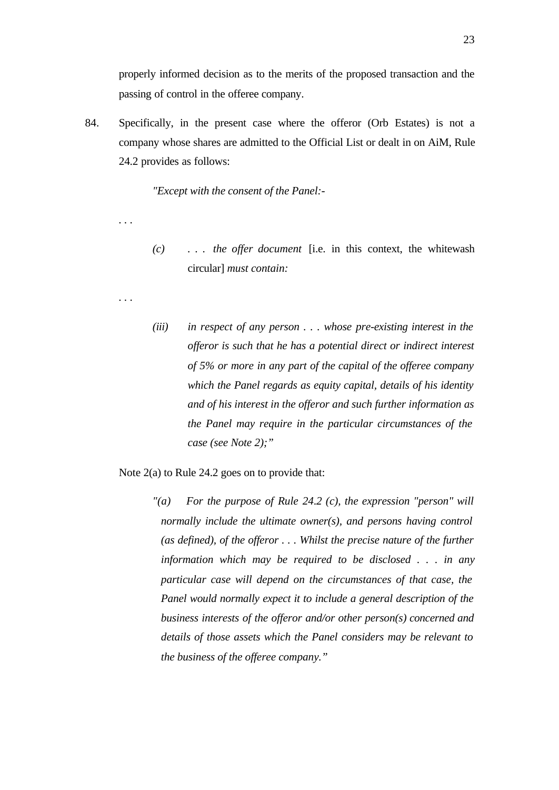properly informed decision as to the merits of the proposed transaction and the passing of control in the offeree company.

84. Specifically, in the present case where the offeror (Orb Estates) is not a company whose shares are admitted to the Official List or dealt in on AiM, Rule 24.2 provides as follows:

*"Except with the consent of the Panel:-*

*(c) . . . the offer document* [i.e. in this context, the whitewash circular] *must contain:*

*. . .*

*. . .*

*(iii) in respect of any person . . . whose pre-existing interest in the offeror is such that he has a potential direct or indirect interest of 5% or more in any part of the capital of the offeree company which the Panel regards as equity capital, details of his identity and of his interest in the offeror and such further information as the Panel may require in the particular circumstances of the case (see Note 2);"*

Note 2(a) to Rule 24.2 goes on to provide that:

*"(a) For the purpose of Rule 24*.*2 (c), the expression "person" will normally include the ultimate owner(s), and persons having control (as defined), of the offeror . . . Whilst the precise nature of the further information which may be required to be disclosed . . . in any particular case will depend on the circumstances of that case, the Panel would normally expect it to include a general description of the business interests of the offeror and/or other person(s) concerned and details of those assets which the Panel considers may be relevant to the business of the offeree company."*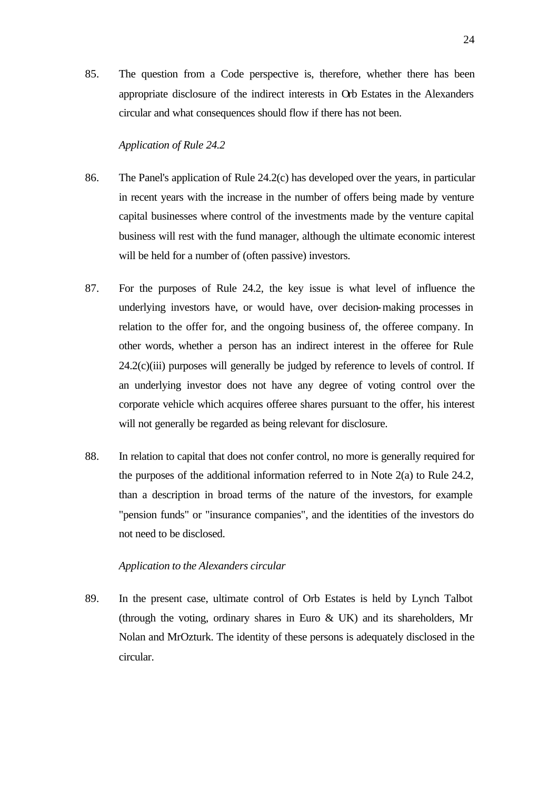85. The question from a Code perspective is, therefore, whether there has been appropriate disclosure of the indirect interests in Orb Estates in the Alexanders circular and what consequences should flow if there has not been.

### *Application of Rule 24.2*

- 86. The Panel's application of Rule 24.2(c) has developed over the years, in particular in recent years with the increase in the number of offers being made by venture capital businesses where control of the investments made by the venture capital business will rest with the fund manager, although the ultimate economic interest will be held for a number of (often passive) investors.
- 87. For the purposes of Rule 24.2, the key issue is what level of influence the underlying investors have, or would have, over decision-making processes in relation to the offer for, and the ongoing business of, the offeree company. In other words, whether a person has an indirect interest in the offeree for Rule  $24.2(c)(iii)$  purposes will generally be judged by reference to levels of control. If an underlying investor does not have any degree of voting control over the corporate vehicle which acquires offeree shares pursuant to the offer, his interest will not generally be regarded as being relevant for disclosure.
- 88. In relation to capital that does not confer control, no more is generally required for the purposes of the additional information referred to in Note 2(a) to Rule 24.2, than a description in broad terms of the nature of the investors, for example "pension funds" or "insurance companies", and the identities of the investors do not need to be disclosed.

### *Application to the Alexanders circular*

89. In the present case, ultimate control of Orb Estates is held by Lynch Talbot (through the voting, ordinary shares in Euro & UK) and its shareholders, Mr Nolan and MrOzturk. The identity of these persons is adequately disclosed in the circular.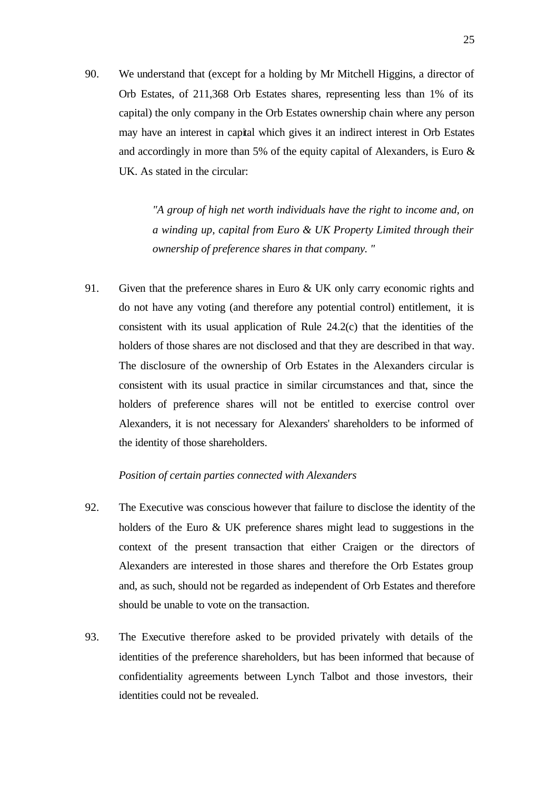90. We understand that (except for a holding by Mr Mitchell Higgins, a director of Orb Estates, of 211,368 Orb Estates shares, representing less than 1% of its capital) the only company in the Orb Estates ownership chain where any person may have an interest in capital which gives it an indirect interest in Orb Estates and accordingly in more than 5% of the equity capital of Alexanders, is Euro & UK. As stated in the circular:

> *"A group of high net worth individuals have the right to income and, on a winding up, capital from Euro & UK Property Limited through their ownership of preference shares in that company. "*

91. Given that the preference shares in Euro & UK only carry economic rights and do not have any voting (and therefore any potential control) entitlement, it is consistent with its usual application of Rule 24.2(c) that the identities of the holders of those shares are not disclosed and that they are described in that way. The disclosure of the ownership of Orb Estates in the Alexanders circular is consistent with its usual practice in similar circumstances and that, since the holders of preference shares will not be entitled to exercise control over Alexanders, it is not necessary for Alexanders' shareholders to be informed of the identity of those shareholders.

### *Position of certain parties connected with Alexanders*

- 92. The Executive was conscious however that failure to disclose the identity of the holders of the Euro & UK preference shares might lead to suggestions in the context of the present transaction that either Craigen or the directors of Alexanders are interested in those shares and therefore the Orb Estates group and, as such, should not be regarded as independent of Orb Estates and therefore should be unable to vote on the transaction.
- 93. The Executive therefore asked to be provided privately with details of the identities of the preference shareholders, but has been informed that because of confidentiality agreements between Lynch Talbot and those investors, their identities could not be revealed.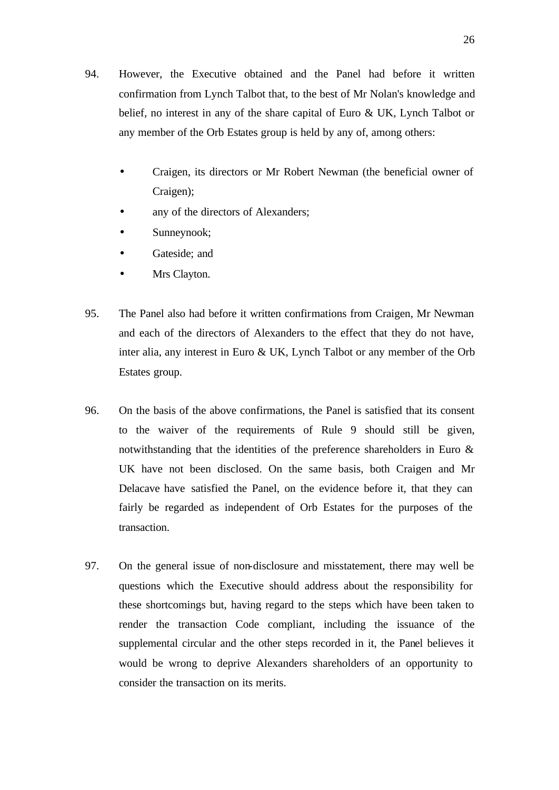- 94. However, the Executive obtained and the Panel had before it written confirmation from Lynch Talbot that, to the best of Mr Nolan's knowledge and belief, no interest in any of the share capital of Euro & UK, Lynch Talbot or any member of the Orb Estates group is held by any of, among others:
	- Craigen, its directors or Mr Robert Newman (the beneficial owner of Craigen);
	- any of the directors of Alexanders;
	- Sunneynook;
	- Gateside: and
	- Mrs Clayton.
- 95. The Panel also had before it written confirmations from Craigen, Mr Newman and each of the directors of Alexanders to the effect that they do not have, inter alia, any interest in Euro & UK, Lynch Talbot or any member of the Orb Estates group.
- 96. On the basis of the above confirmations, the Panel is satisfied that its consent to the waiver of the requirements of Rule 9 should still be given, notwithstanding that the identities of the preference shareholders in Euro & UK have not been disclosed. On the same basis, both Craigen and Mr Delacave have satisfied the Panel, on the evidence before it, that they can fairly be regarded as independent of Orb Estates for the purposes of the transaction.
- 97. On the general issue of non-disclosure and misstatement, there may well be questions which the Executive should address about the responsibility for these shortcomings but, having regard to the steps which have been taken to render the transaction Code compliant, including the issuance of the supplemental circular and the other steps recorded in it, the Panel believes it would be wrong to deprive Alexanders shareholders of an opportunity to consider the transaction on its merits.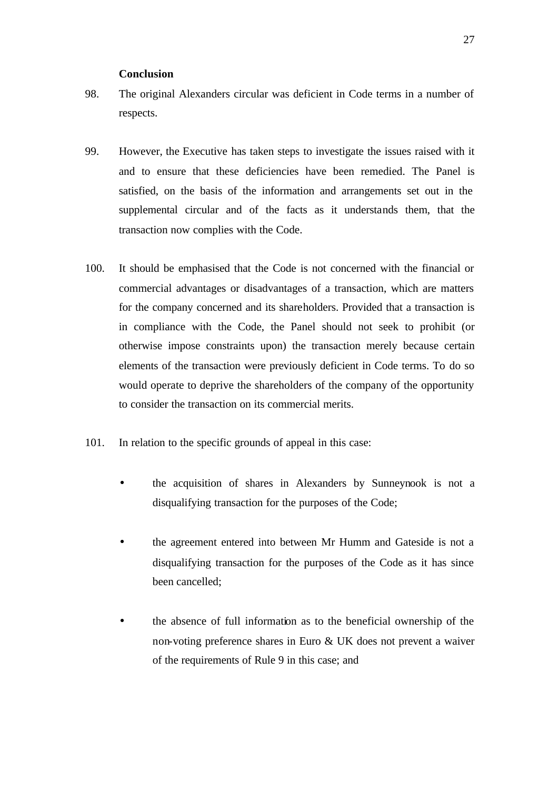### **Conclusion**

- 98. The original Alexanders circular was deficient in Code terms in a number of respects.
- 99. However, the Executive has taken steps to investigate the issues raised with it and to ensure that these deficiencies have been remedied. The Panel is satisfied, on the basis of the information and arrangements set out in the supplemental circular and of the facts as it understands them, that the transaction now complies with the Code.
- 100. It should be emphasised that the Code is not concerned with the financial or commercial advantages or disadvantages of a transaction, which are matters for the company concerned and its shareholders. Provided that a transaction is in compliance with the Code, the Panel should not seek to prohibit (or otherwise impose constraints upon) the transaction merely because certain elements of the transaction were previously deficient in Code terms. To do so would operate to deprive the shareholders of the company of the opportunity to consider the transaction on its commercial merits.
- 101. In relation to the specific grounds of appeal in this case:
	- the acquisition of shares in Alexanders by Sunneynook is not a disqualifying transaction for the purposes of the Code;
	- the agreement entered into between Mr Humm and Gateside is not a disqualifying transaction for the purposes of the Code as it has since been cancelled;
	- the absence of full information as to the beneficial ownership of the non-voting preference shares in Euro & UK does not prevent a waiver of the requirements of Rule 9 in this case; and